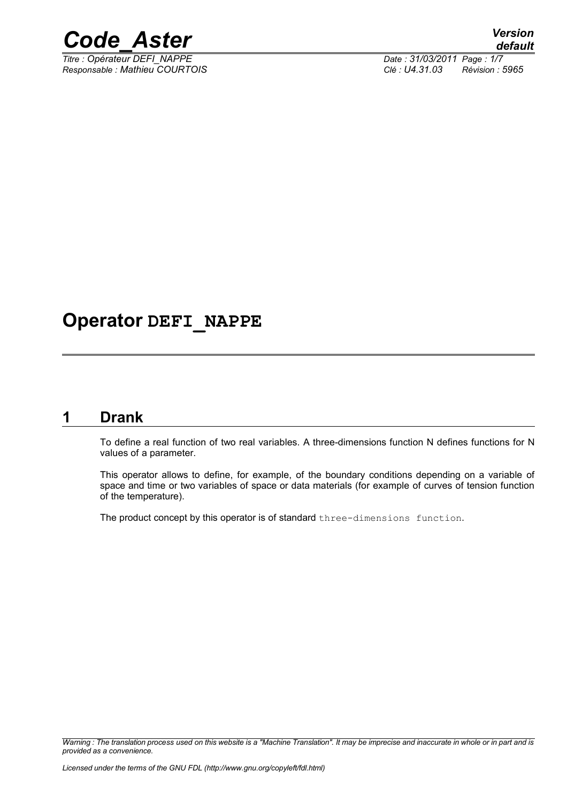

*Titre : Opérateur DEFI\_NAPPE Date : 31/03/2011 Page : 1/7*

*Responsable : Mathieu COURTOIS Clé : U4.31.03 Révision : 5965*

## **Operator DEFI\_NAPPE**

## **1 Drank**

To define a real function of two real variables. A three-dimensions function N defines functions for N values of a parameter.

This operator allows to define, for example, of the boundary conditions depending on a variable of space and time or two variables of space or data materials (for example of curves of tension function of the temperature).

The product concept by this operator is of standard three-dimensions function.

*Warning : The translation process used on this website is a "Machine Translation". It may be imprecise and inaccurate in whole or in part and is provided as a convenience.*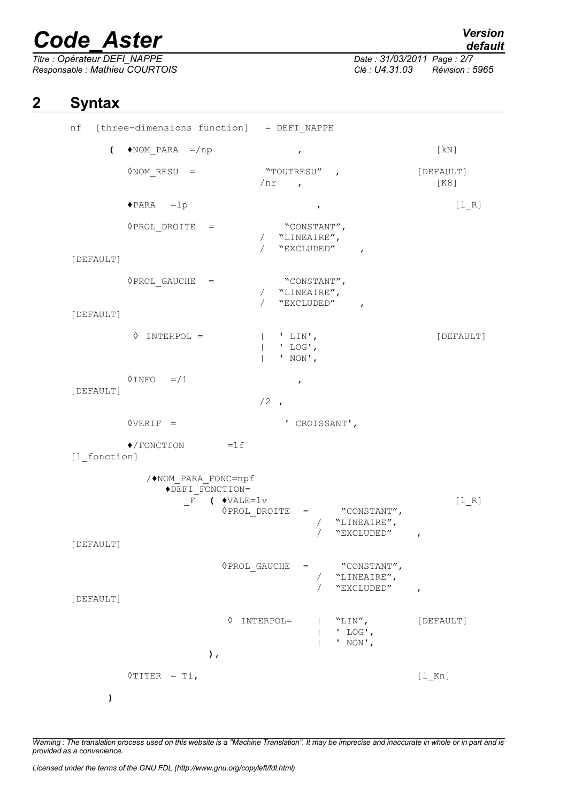*Titre : Opérateur DEFI\_NAPPE Date : 31/03/2011 Page : 2/7*

*default*

*Responsable : Mathieu COURTOIS Clé : U4.31.03 Révision : 5965*

## **2 Syntax**

 $nf$  [three-dimensions function] = DEFI\_NAPPE  $\left(\begin{array}{ccc} \bullet \text{NOM} & \text{PARA} & =\text{/np} \end{array}\right)$  , [kN] ◇NOM RESU = "TOUTRESU" ,  $[DEFAULT]$ /nr , [K8] ♦PARA =lp , [l\_R] ◊PROL\_DROITE = "CONSTANT", / "LINEAIRE", "EXCLUDED" [DEFAULT] ◊PROL\_GAUCHE = "CONSTANT", / "LINEAIRE", "EXCLUDED" [DEFAULT] ◊ INTERPOL = | ' LIN', [DEFAULT] | ' LOG', | ' NON',  $\sqrt{N}$ INFO =/1 , [DEFAULT]  $/2$ , ◊VERIF = ' CROISSANT',  $\bullet$ /FONCTION =lf [1 fonction] /♦NOM\_PARA\_FONC=npf ◆DEFI\_FONCTION=<br>F ( ◆VALE  $\begin{array}{lll} \text{(} & \text{}} & \text{[l_R]} \\ \text{ } & \text{PROL DROITE} & = & \text{``} \text{CONSTANT}' \text{'} \end{array}$ ◊PROL\_DROITE = "CONSTANT", / "LINEAIRE", / "EXCLUDED" , [DEFAULT] ◊PROL\_GAUCHE = "CONSTANT", / "LINEAIRE", / "EXCLUDED" , [DEFAULT] ◊ INTERPOL= | "LIN", [DEFAULT] | ' LOG', | ' NON', **),**  $\sqrt{$  TITER = Ti, **)**

*Warning : The translation process used on this website is a "Machine Translation". It may be imprecise and inaccurate in whole or in part and is provided as a convenience.*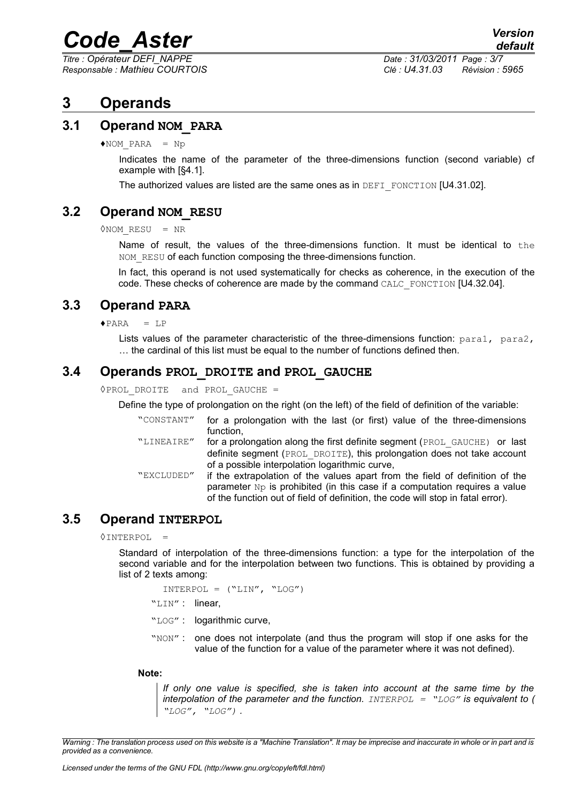*Titre : Opérateur DEFI\_NAPPE Date : 31/03/2011 Page : 3/7*

*Responsable : Mathieu COURTOIS Clé : U4.31.03 Révision : 5965*

## **3 Operands**

## **3.1 Operand NOM\_PARA**

 $NOM$  PARA = Np

Indicates the name of the parameter of the three-dimensions function (second variable) cf example with [§4.1].

The authorized values are listed are the same ones as in DEFI\_FONCTION [U4.31.02].

## **3.2 Operand NOM\_RESU**

◊NOM\_RESU = NR

Name of result, the values of the three-dimensions function. It must be identical to the NOM RESU of each function composing the three-dimensions function.

In fact, this operand is not used systematically for checks as coherence, in the execution of the code. These checks of coherence are made by the command CALC\_FONCTION [U4.32.04].

## **3.3 Operand PARA**

 $\triangle$  PARA = LP

Lists values of the parameter characteristic of the three-dimensions function:  $paral$ ,  $para/$ , … the cardinal of this list must be equal to the number of functions defined then.

## **3.4 Operands PROL\_DROITE and PROL\_GAUCHE**

◊PROL\_DROITE and PROL\_GAUCHE =

Define the type of prolongation on the right (on the left) of the field of definition of the variable:

| "CONSTANT" | for a prolongation with the last (or first) value of the three-dimensions           |
|------------|-------------------------------------------------------------------------------------|
|            | function.                                                                           |
| "LINEAIRE" | for a prolongation along the first definite segment (PROL GAUCHE) or last           |
|            | definite segment (PROL DROITE), this prolongation does not take account             |
|            | of a possible interpolation logarithmic curve,                                      |
| "EXCLUDED" | if the extrapolation of the values apart from the field of definition of the        |
|            | parameter $N_{\rm P}$ is prohibited (in this case if a computation requires a value |

of the function out of field of definition, the code will stop in fatal error).

## **3.5 Operand INTERPOL**

◊INTERPOL =

Standard of interpolation of the three-dimensions function: a type for the interpolation of the second variable and for the interpolation between two functions. This is obtained by providing a list of 2 texts among:

```
INTERPOL = ("LIN", "LOG")
```

```
"LIN" : linear,
```
"LOG" : logarithmic curve,

"NON": one does not interpolate (and thus the program will stop if one asks for the value of the function for a value of the parameter where it was not defined).

#### **Note:**

*If only one value is specified, she is taken into account at the same time by the interpolation of the parameter and the function. INTERPOL = "LOG" is equivalent to ( "LOG", "LOG") .*

*Warning : The translation process used on this website is a "Machine Translation". It may be imprecise and inaccurate in whole or in part and is provided as a convenience.*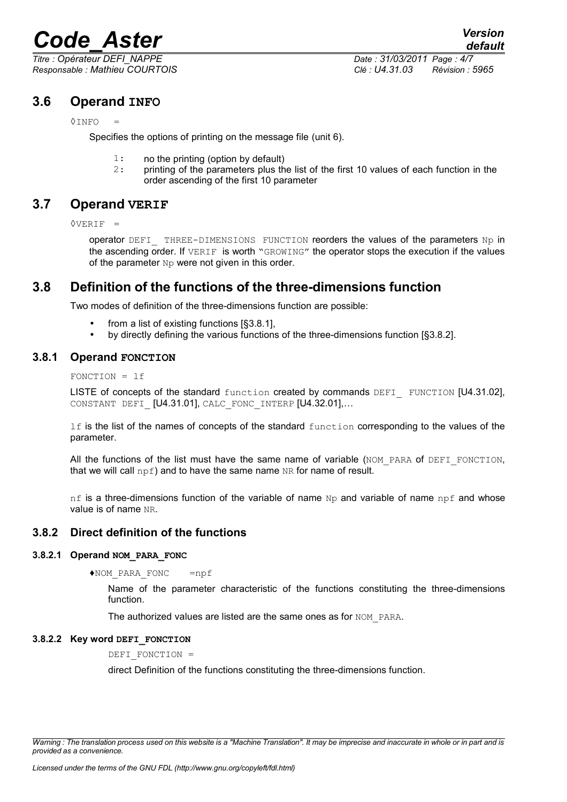*Responsable : Mathieu COURTOIS Clé : U4.31.03 Révision : 5965*

## **3.6 Operand INFO**

#### ◊INFO =

Specifies the options of printing on the message file (unit 6).

- 1: no the printing (option by default)
- 2: printing of the parameters plus the list of the first 10 values of each function in the order ascending of the first 10 parameter

## **3.7 Operand VERIF**

◊VERIF =

operator DEFI THREE-DIMENSIONS FUNCTION reorders the values of the parameters Np in the ascending order. If VERIF is worth "GROWING" the operator stops the execution if the values of the parameter  $Np$  were not given in this order.

## **3.8 Definition of the functions of the three-dimensions function**

Two modes of definition of the three-dimensions function are possible:

- from a list of existing functions [§3.8.1],
- by directly defining the various functions of the three-dimensions function [§3.8.2].

#### **3.8.1 Operand FONCTION**

FONCTION = lf

LISTE of concepts of the standard function created by commands DEFI FUNCTION [U4.31.02]. CONSTANT DEFI [U4.31.01], CALC FONC INTERP [U4.32.01],...

If is the list of the names of concepts of the standard function corresponding to the values of the parameter.

All the functions of the list must have the same name of variable ( $NOM$  PARA of DEFI FONCTION, that we will call  $npf$ ) and to have the same name NR for name of result.

nf is a three-dimensions function of the variable of name  $Np$  and variable of name  $npf$  and whose value is of name NR.

#### **3.8.2 Direct definition of the functions**

#### **3.8.2.1 Operand NOM\_PARA\_FONC**

♦NOM\_PARA\_FONC =npf

Name of the parameter characteristic of the functions constituting the three-dimensions function.

The authorized values are listed are the same ones as for NOM\_PARA.

#### **3.8.2.2 Key word DEFI\_FONCTION**

DEFI\_FONCTION =

direct Definition of the functions constituting the three-dimensions function.

*Warning : The translation process used on this website is a "Machine Translation". It may be imprecise and inaccurate in whole or in part and is provided as a convenience.*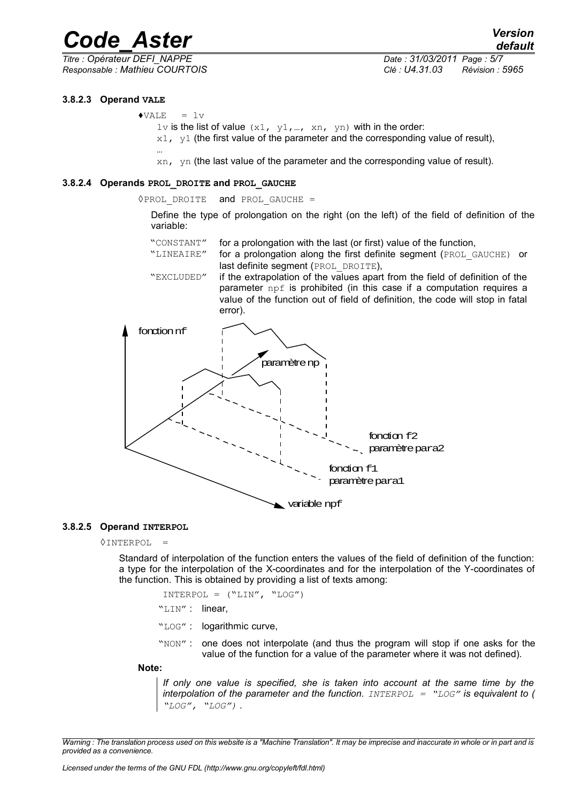*Responsable : Mathieu COURTOIS Clé : U4.31.03 Révision : 5965*

*Titre : Opérateur DEFI\_NAPPE Date : 31/03/2011 Page : 5/7*

*default*

#### **3.8.2.3 Operand VALE**

 $\triangle VALE = Lv$ 

…

- lv is the list of value  $(x1, y1, ..., xn, yn)$  with in the order:
- $x1$ ,  $y1$  (the first value of the parameter and the corresponding value of result),

xn, yn (the last value of the parameter and the corresponding value of result).

#### **3.8.2.4 Operands PROL\_DROITE and PROL\_GAUCHE**

◊PROL\_DROITE and PROL\_GAUCHE =

Define the type of prolongation on the right (on the left) of the field of definition of the variable:

- "CONSTANT" for a prolongation with the last (or first) value of the function,
- "LINEAIRE" for a prolongation along the first definite segment (PROL\_GAUCHE) or last definite segment (PROL DROITE),
- "EXCLUDED" if the extrapolation of the values apart from the field of definition of the parameter npf is prohibited (in this case if a computation requires a value of the function out of field of definition, the code will stop in fatal error).



#### **3.8.2.5 Operand INTERPOL**

 $\Diamond$ INTERPOL =

Standard of interpolation of the function enters the values of the field of definition of the function: a type for the interpolation of the X-coordinates and for the interpolation of the Y-coordinates of the function. This is obtained by providing a list of texts among:

 $INTERPOL = ("LIN", "LOG")$ 

- "LIN" : linear,
- "LOG" : logarithmic curve,

"NON": one does not interpolate (and thus the program will stop if one asks for the value of the function for a value of the parameter where it was not defined).

**Note:**

*If only one value is specified, she is taken into account at the same time by the interpolation of the parameter and the function. INTERPOL = "LOG" is equivalent to ( "LOG", "LOG") .*

*Warning : The translation process used on this website is a "Machine Translation". It may be imprecise and inaccurate in whole or in part and is provided as a convenience.*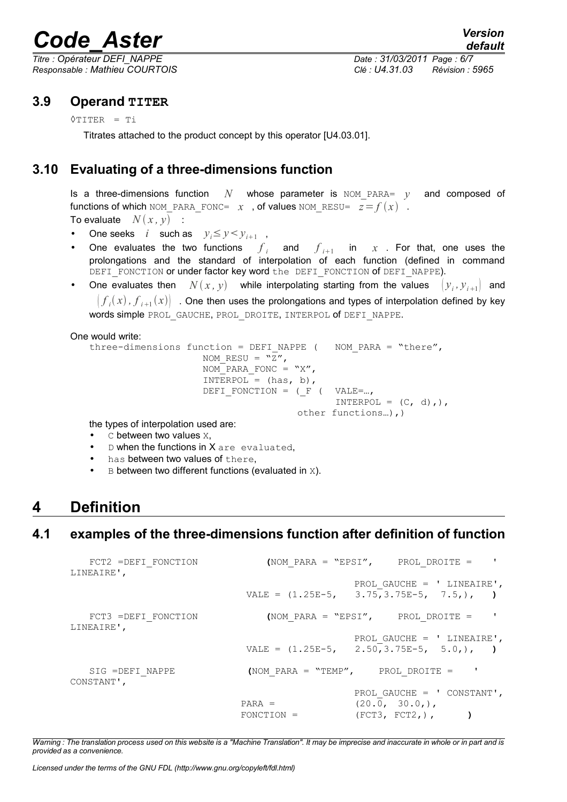*Titre : Opérateur DEFI\_NAPPE Date : 31/03/2011 Page : 6/7 Responsable : Mathieu COURTOIS Clé : U4.31.03 Révision : 5965*

## **3.9 Operand TITER**

◊TITER = Ti

Titrates attached to the product concept by this operator [U4.03.01].

## **3.10 Evaluating of a three-dimensions function**

Is a three-dimensions function  $N$  whose parameter is NOM PARA=  $\gamma$  and composed of functions of which NOM\_PARA\_FONC=  $x$  , of values NOM\_RESU=  $z = f(x)$  . To evaluate  $N(x, y)$  :

- One seeks *i* such as  $y_i \le y \le y_{i+1}$ ,
- One evaluates the two functions  $f_i$  and  $f_{i+1}$  in  $x$  . For that, one uses the prolongations and the standard of interpolation of each function (defined in command DEFI\_FONCTION or under factor key word the DEFI\_FONCTION of DEFI\_NAPPE).
- One evaluates then  $N(x, y)$  while interpolating starting from the values  $(y_i, y_{i+1}$  and  $\big\vert f_i(x), f_{i+1}(x) \big\vert$  . One then uses the prolongations and types of interpolation defined by key words simple PROL\_GAUCHE, PROL\_DROITE, INTERPOL of DEFI\_NAPPE.

One would write:

```
three-dimensions function = DEFI_NAPPE ( NOM_PARA = "there",
                      NOM RESU = \sqrt{2}",
                      NOM PARA FONC = "X",
                      INTERPOL = (has, b),DEFI FONCTION = (\_F \ ( \text{VALE=...} ,INTERPOL = (C, d),),
                                         other functions…),)
the types of interpolation used are:
```
 $\bullet$  C between two values  $X$ ,

- $D$  when the functions in  $X$  are evaluated,
- has between two values of there.
- $B$  between two different functions (evaluated in  $X$ ).

## **4 Definition**

## **4.1 examples of the three-dimensions function after definition of function**

| FCT2 = DEFI FONCTION<br>LINEAIRE', |              | (NOM PARA = "EPSI", PROL DROITE = $'$                                    |
|------------------------------------|--------------|--------------------------------------------------------------------------|
|                                    |              | PROL GAUCHE = $'$ LINEAIRE',<br>VALE = $(1.25E-5, 3.75, 3.75E-5, 7.5,),$ |
| FCT3 =DEFI FONCTION<br>LINEAIRE',  |              | (NOM PARA = "EPSI", PROL DROITE = $'$                                    |
|                                    |              | PROL GAUCHE = $'$ LINEAIRE',<br>VALE = $(1.25E-5, 2.50, 3.75E-5, 5.0,),$ |
| SIG = DEFI NAPPE<br>CONSTANT',     |              | (NOM PARA = "TEMP", PROL DROITE = $'$                                    |
|                                    | $PARA =$     | PROL GAUCHE = $'$ CONSTANT',<br>(20.0, 30.0)                             |
|                                    | $FONCTION =$ | (FCT3, FCT2, ).                                                          |

*Warning : The translation process used on this website is a "Machine Translation". It may be imprecise and inaccurate in whole or in part and is provided as a convenience.*